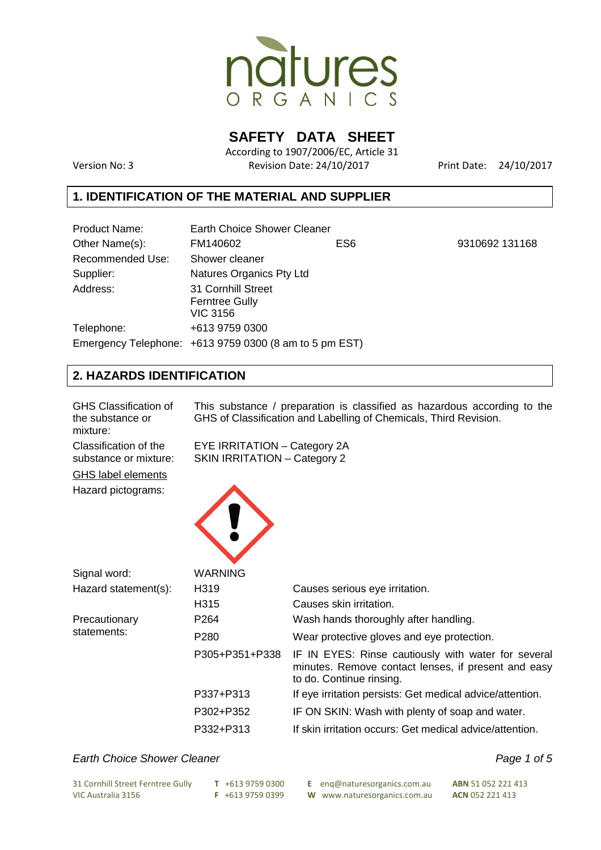

**SAFETY DATA SHEET** 

According to 1907/2006/EC, Article 31 Version No: 3 Revision Date: 24/10/2017 Print Date: 24/10/2017

9310692 131168

# **1. IDENTIFICATION OF THE MATERIAL AND SUPPLIER**

| <b>Product Name:</b>    | <b>Earth Choice Shower Cleaner</b>                     |     |  |
|-------------------------|--------------------------------------------------------|-----|--|
| Other Name(s):          | FM140602                                               | ES6 |  |
| <b>Recommended Use:</b> | Shower cleaner                                         |     |  |
| Supplier:               | Natures Organics Pty Ltd                               |     |  |
| Address:                | <b>31 Cornhill Street</b>                              |     |  |
|                         | <b>Ferntree Gully</b>                                  |     |  |
|                         | <b>VIC 3156</b>                                        |     |  |
| Telephone:              | +613 9759 0300                                         |     |  |
|                         | Emergency Telephone: $+61397590300$ (8 am to 5 pm EST) |     |  |
|                         |                                                        |     |  |

# **2. HAZARDS IDENTIFICATION**

| <b>GHS Classification of</b><br>the substance or<br>mixture: | This substance / preparation is classified as hazardous according to the<br>GHS of Classification and Labelling of Chemicals, Third Revision. |                                                                                                                                        |  |
|--------------------------------------------------------------|-----------------------------------------------------------------------------------------------------------------------------------------------|----------------------------------------------------------------------------------------------------------------------------------------|--|
| Classification of the<br>substance or mixture:               | EYE IRRITATION - Category 2A<br><b>SKIN IRRITATION - Category 2</b>                                                                           |                                                                                                                                        |  |
| <b>GHS label elements</b>                                    |                                                                                                                                               |                                                                                                                                        |  |
| Hazard pictograms:                                           |                                                                                                                                               |                                                                                                                                        |  |
| Signal word:                                                 | <b>WARNING</b>                                                                                                                                |                                                                                                                                        |  |
| Hazard statement(s):                                         | H <sub>319</sub>                                                                                                                              | Causes serious eye irritation.                                                                                                         |  |
|                                                              | H315                                                                                                                                          | Causes skin irritation.                                                                                                                |  |
| Precautionary                                                | P <sub>264</sub>                                                                                                                              | Wash hands thoroughly after handling.                                                                                                  |  |
| statements:                                                  | P <sub>280</sub>                                                                                                                              | Wear protective gloves and eye protection.                                                                                             |  |
|                                                              | P305+P351+P338                                                                                                                                | IF IN EYES: Rinse cautiously with water for several<br>minutes. Remove contact lenses, if present and easy<br>to do. Continue rinsing. |  |
|                                                              | P337+P313                                                                                                                                     | If eye irritation persists: Get medical advice/attention.                                                                              |  |
|                                                              | P302+P352                                                                                                                                     | IF ON SKIN: Wash with plenty of soap and water.                                                                                        |  |
|                                                              | P332+P313                                                                                                                                     | If skin irritation occurs: Get medical advice/attention.                                                                               |  |

# Earth Choice Shower Cleaner **Page 1 of 5** Earth Choice Shower Cleaner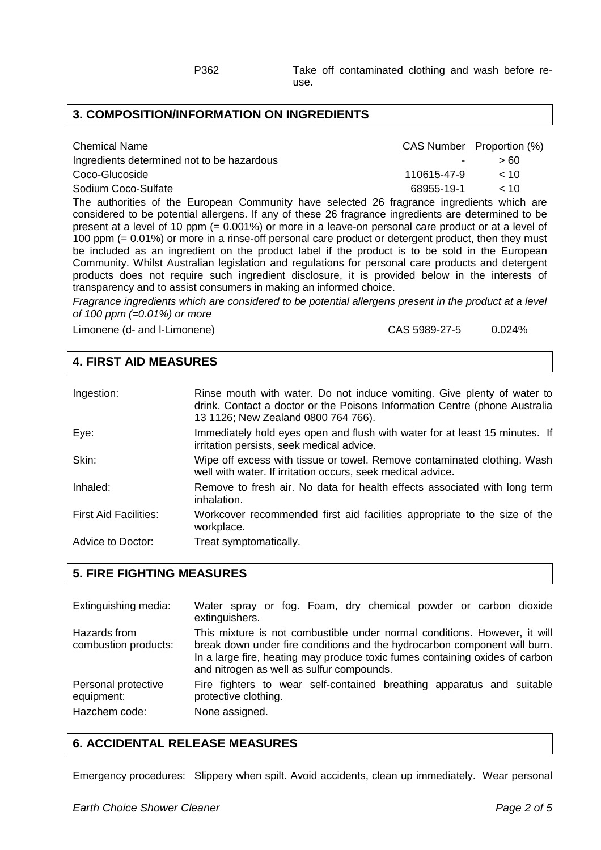#### **3. COMPOSITION/INFORMATION ON INGREDIENTS**

| <b>Chemical Name</b>                       |             | CAS Number Proportion (%) |
|--------------------------------------------|-------------|---------------------------|
| Ingredients determined not to be hazardous | $\sim$      | > 60                      |
| Coco-Glucoside                             | 110615-47-9 | < 10                      |
| Sodium Coco-Sulfate                        | 68955-19-1  | ~10                       |
|                                            |             |                           |

The authorities of the European Community have selected 26 fragrance ingredients which are considered to be potential allergens. If any of these 26 fragrance ingredients are determined to be present at a level of 10 ppm (= 0.001%) or more in a leave-on personal care product or at a level of 100 ppm (= 0.01%) or more in a rinse-off personal care product or detergent product, then they must be included as an ingredient on the product label if the product is to be sold in the European Community. Whilst Australian legislation and regulations for personal care products and detergent products does not require such ingredient disclosure, it is provided below in the interests of transparency and to assist consumers in making an informed choice.

Fragrance ingredients which are considered to be potential allergens present in the product at a level of 100 ppm  $(=0.01\%)$  or more

Limonene (d- and l-Limonene) CAS 5989-27-5 0.024%

#### **4. FIRST AID MEASURES**

| Ingestion:                   | Rinse mouth with water. Do not induce vomiting. Give plenty of water to<br>drink. Contact a doctor or the Poisons Information Centre (phone Australia<br>13 1126; New Zealand 0800 764 766). |
|------------------------------|----------------------------------------------------------------------------------------------------------------------------------------------------------------------------------------------|
| Eye:                         | Immediately hold eyes open and flush with water for at least 15 minutes. If<br>irritation persists, seek medical advice.                                                                     |
| Skin:                        | Wipe off excess with tissue or towel. Remove contaminated clothing. Wash<br>well with water. If irritation occurs, seek medical advice.                                                      |
| Inhaled:                     | Remove to fresh air. No data for health effects associated with long term<br>inhalation.                                                                                                     |
| <b>First Aid Facilities:</b> | Workcover recommended first aid facilities appropriate to the size of the<br>workplace.                                                                                                      |
| Advice to Doctor:            | Treat symptomatically.                                                                                                                                                                       |

#### **5. FIRE FIGHTING MEASURES**

| Extinguishing media:                 | Water spray or fog. Foam, dry chemical powder or carbon dioxide<br>extinguishers.                                                                                                                                                                                                   |
|--------------------------------------|-------------------------------------------------------------------------------------------------------------------------------------------------------------------------------------------------------------------------------------------------------------------------------------|
| Hazards from<br>combustion products: | This mixture is not combustible under normal conditions. However, it will<br>break down under fire conditions and the hydrocarbon component will burn.<br>In a large fire, heating may produce toxic fumes containing oxides of carbon<br>and nitrogen as well as sulfur compounds. |
| Personal protective<br>equipment:    | Fire fighters to wear self-contained breathing apparatus and suitable<br>protective clothing.                                                                                                                                                                                       |
| Hazchem code:                        | None assigned.                                                                                                                                                                                                                                                                      |

# **6. ACCIDENTAL RELEASE MEASURES**

Emergency procedures: Slippery when spilt. Avoid accidents, clean up immediately. Wear personal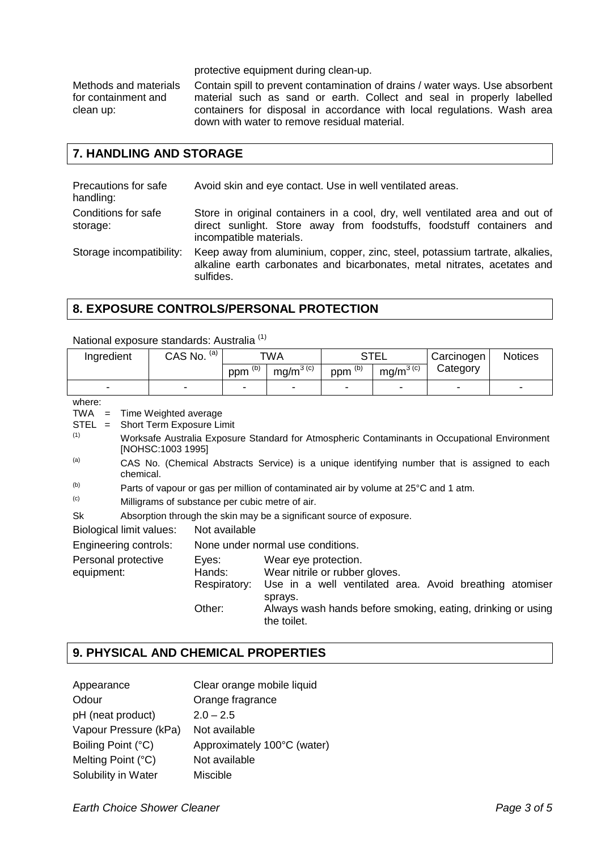protective equipment during clean-up.

Methods and materials for containment and clean up:

Contain spill to prevent contamination of drains / water ways. Use absorbent material such as sand or earth. Collect and seal in properly labelled containers for disposal in accordance with local regulations. Wash area down with water to remove residual material.

#### **7. HANDLING AND STORAGE**

| Precautions for safe<br>handling: | Avoid skin and eye contact. Use in well ventilated areas.                                                                                                                        |
|-----------------------------------|----------------------------------------------------------------------------------------------------------------------------------------------------------------------------------|
| Conditions for safe<br>storage:   | Store in original containers in a cool, dry, well ventilated area and out of<br>direct sunlight. Store away from foodstuffs, foodstuff containers and<br>incompatible materials. |
| Storage incompatibility:          | Keep away from aluminium, copper, zinc, steel, potassium tartrate, alkalies,<br>alkaline earth carbonates and bicarbonates, metal nitrates, acetates and<br>sulfides.            |

#### **8. EXPOSURE CONTROLS/PERSONAL PROTECTION**

National exposure standards: Australia (1)

| Ingredient                        |                                                                                     |                           | CAS No. (a)  |                                                                   | <b>TWA</b>                                                           | <b>STEL</b>             |               | Carcinogen                                                                                    | <b>Notices</b> |
|-----------------------------------|-------------------------------------------------------------------------------------|---------------------------|--------------|-------------------------------------------------------------------|----------------------------------------------------------------------|-------------------------|---------------|-----------------------------------------------------------------------------------------------|----------------|
|                                   |                                                                                     |                           |              | ppm $\overline{^{(b)}}$                                           | $mg/m^{3}$ <sup>(c)</sup>                                            | ppm $\overline{^{(b)}}$ | $mg/m^{3(c)}$ | Category                                                                                      |                |
|                                   |                                                                                     |                           |              |                                                                   |                                                                      | $\overline{a}$          |               |                                                                                               |                |
| where:                            |                                                                                     |                           |              |                                                                   |                                                                      |                         |               |                                                                                               |                |
| <b>TWA</b><br>$=$                 |                                                                                     | Time Weighted average     |              |                                                                   |                                                                      |                         |               |                                                                                               |                |
| <b>STEL</b><br>$=$<br>(1)         |                                                                                     | Short Term Exposure Limit |              |                                                                   |                                                                      |                         |               |                                                                                               |                |
|                                   |                                                                                     | [NOHSC:1003 1995]         |              |                                                                   |                                                                      |                         |               | Worksafe Australia Exposure Standard for Atmospheric Contaminants in Occupational Environment |                |
| (a)                               | chemical.                                                                           |                           |              |                                                                   |                                                                      |                         |               | CAS No. (Chemical Abstracts Service) is a unique identifying number that is assigned to each  |                |
| (b)                               | Parts of vapour or gas per million of contaminated air by volume at 25°C and 1 atm. |                           |              |                                                                   |                                                                      |                         |               |                                                                                               |                |
| (c)                               | Milligrams of substance per cubic metre of air.                                     |                           |              |                                                                   |                                                                      |                         |               |                                                                                               |                |
| Sk                                |                                                                                     |                           |              |                                                                   | Absorption through the skin may be a significant source of exposure. |                         |               |                                                                                               |                |
| <b>Biological limit values:</b>   |                                                                                     |                           |              | Not available                                                     |                                                                      |                         |               |                                                                                               |                |
| Engineering controls:             |                                                                                     |                           |              |                                                                   | None under normal use conditions.                                    |                         |               |                                                                                               |                |
| Personal protective<br>equipment: |                                                                                     | Eyes:<br>Hands:           | Respiratory: | Wear eye protection.<br>Wear nitrile or rubber gloves.<br>sprays. |                                                                      |                         |               | Use in a well ventilated area. Avoid breathing atomiser                                       |                |
|                                   |                                                                                     | Other:                    |              | the toilet.                                                       |                                                                      |                         |               | Always wash hands before smoking, eating, drinking or using                                   |                |

#### **9. PHYSICAL AND CHEMICAL PROPERTIES**

| Clear orange mobile liquid  |
|-----------------------------|
| Orange fragrance            |
| $2.0 - 2.5$                 |
| Not available               |
| Approximately 100°C (water) |
| Not available               |
| <b>Miscible</b>             |
|                             |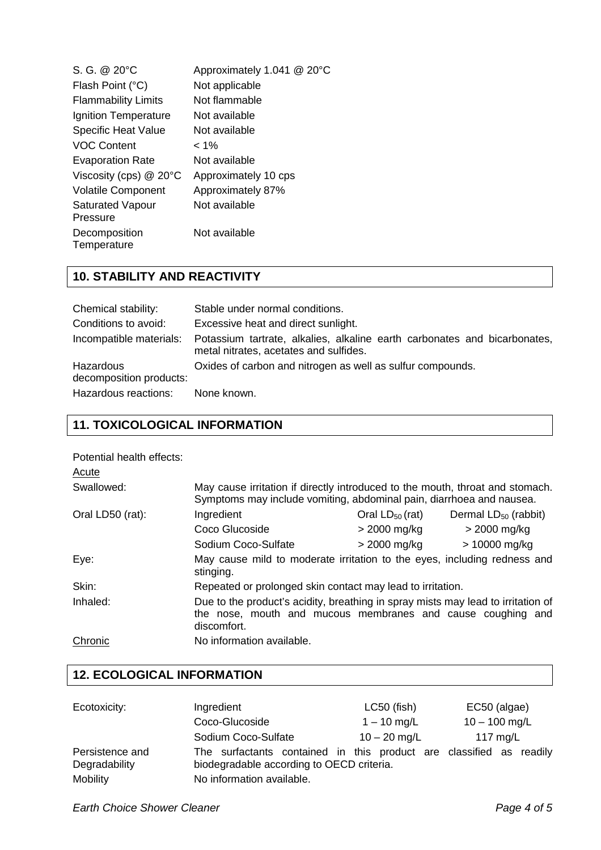| S. G. @ 20°C<br>Flash Point (°C)    | Approximately 1.041 @ 20°C<br>Not applicable |
|-------------------------------------|----------------------------------------------|
| <b>Flammability Limits</b>          | Not flammable                                |
| Ignition Temperature                | Not available                                |
| <b>Specific Heat Value</b>          | Not available                                |
| <b>VOC Content</b>                  | $< 1\%$                                      |
| <b>Evaporation Rate</b>             | Not available                                |
| Viscosity (cps) $@$ 20 $°C$         | Approximately 10 cps                         |
| <b>Volatile Component</b>           | Approximately 87%                            |
| <b>Saturated Vapour</b><br>Pressure | Not available                                |
| Decomposition<br>Temperature        | Not available                                |

# **10. STABILITY AND REACTIVITY**

| Chemical stability:                  | Stable under normal conditions.                                                                                     |  |  |
|--------------------------------------|---------------------------------------------------------------------------------------------------------------------|--|--|
| Conditions to avoid:                 | Excessive heat and direct sunlight.                                                                                 |  |  |
| Incompatible materials:              | Potassium tartrate, alkalies, alkaline earth carbonates and bicarbonates,<br>metal nitrates, acetates and sulfides. |  |  |
| Hazardous<br>decomposition products: | Oxides of carbon and nitrogen as well as sulfur compounds.                                                          |  |  |
| Hazardous reactions:                 | None known.                                                                                                         |  |  |

# **11. TOXICOLOGICAL INFORMATION**

| Potential health effects:<br>Acute |                                                                                                                                                                |                      |                           |  |
|------------------------------------|----------------------------------------------------------------------------------------------------------------------------------------------------------------|----------------------|---------------------------|--|
| Swallowed:                         | May cause irritation if directly introduced to the mouth, throat and stomach.<br>Symptoms may include vomiting, abdominal pain, diarrhoea and nausea.          |                      |                           |  |
| Oral LD50 (rat):                   | Ingredient                                                                                                                                                     | Oral $LD_{50}$ (rat) | Dermal $LD_{50}$ (rabbit) |  |
|                                    | Coco Glucoside                                                                                                                                                 | > 2000 mg/kg         | $>$ 2000 mg/kg            |  |
|                                    | Sodium Coco-Sulfate                                                                                                                                            | > 2000 mg/kg         | $> 10000$ mg/kg           |  |
| Eye:                               | May cause mild to moderate irritation to the eyes, including redness and<br>stinging.                                                                          |                      |                           |  |
| Skin:                              | Repeated or prolonged skin contact may lead to irritation.                                                                                                     |                      |                           |  |
| Inhaled:                           | Due to the product's acidity, breathing in spray mists may lead to irritation of<br>the nose, mouth and mucous membranes and cause coughing and<br>discomfort. |                      |                           |  |
| Chronic                            | No information available.                                                                                                                                      |                      |                           |  |

# **12. ECOLOGICAL INFORMATION**

| Ecotoxicity:                     | Ingredient                                                                                                       | LC50 (fish)    | EC50 (algae)    |  |
|----------------------------------|------------------------------------------------------------------------------------------------------------------|----------------|-----------------|--|
|                                  | Coco-Glucoside                                                                                                   | $1 - 10$ mg/L  | $10 - 100$ mg/L |  |
|                                  | Sodium Coco-Sulfate                                                                                              | $10 - 20$ mg/L | 117 $mg/L$      |  |
| Persistence and<br>Degradability | The surfactants contained in this product are classified as readily<br>biodegradable according to OECD criteria. |                |                 |  |
| Mobility                         | No information available.                                                                                        |                |                 |  |